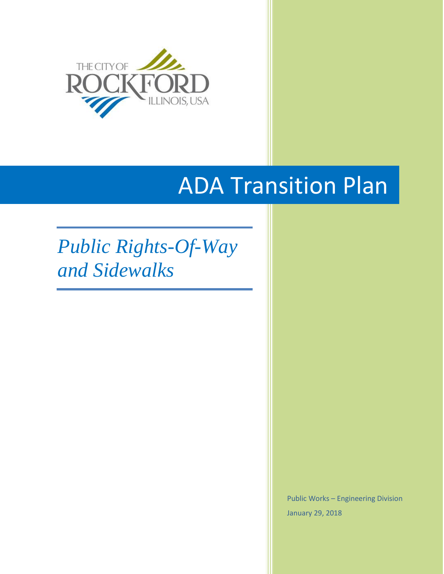

# ADA Transition Plan

## *Public Rights-Of-Way and Sidewalks*

Public Works – Engineering Division January 29, 2018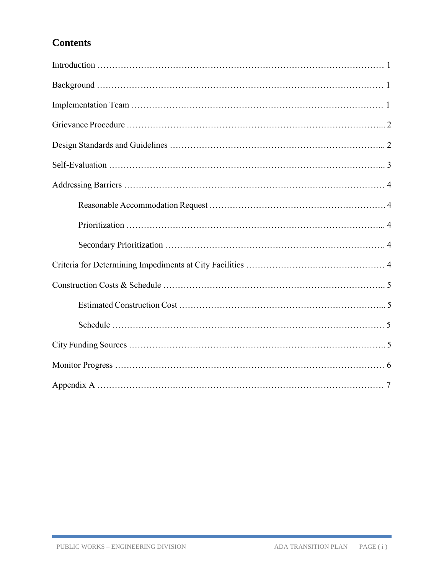## **Contents**

Г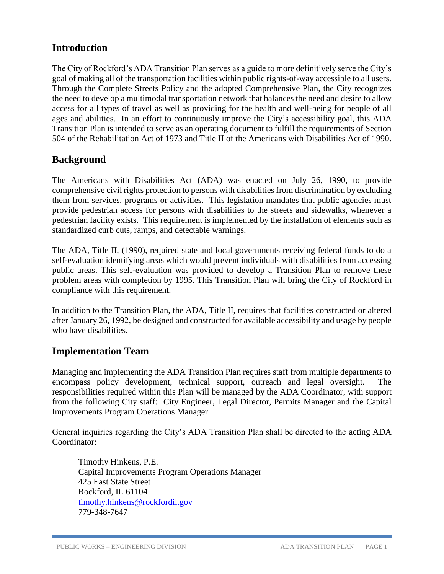## **Introduction**

The City of Rockford's ADA Transition Plan serves as a guide to more definitively serve the City's goal of making all of the transportation facilities within public rights-of-way accessible to all users. Through the Complete Streets Policy and the adopted Comprehensive Plan, the City recognizes the need to develop a multimodal transportation network that balances the need and desire to allow access for all types of travel as well as providing for the health and well-being for people of all ages and abilities. In an effort to continuously improve the City's accessibility goal, this ADA Transition Plan is intended to serve as an operating document to fulfill the requirements of Section 504 of the Rehabilitation Act of 1973 and Title II of the Americans with Disabilities Act of 1990.

## **Background**

The Americans with Disabilities Act (ADA) was enacted on July 26, 1990, to provide comprehensive civil rights protection to persons with disabilities from discrimination by excluding them from services, programs or activities. This legislation mandates that public agencies must provide pedestrian access for persons with disabilities to the streets and sidewalks, whenever a pedestrian facility exists. This requirement is implemented by the installation of elements such as standardized curb cuts, ramps, and detectable warnings.

The ADA, Title II, (1990), required state and local governments receiving federal funds to do a self-evaluation identifying areas which would prevent individuals with disabilities from accessing public areas. This self-evaluation was provided to develop a Transition Plan to remove these problem areas with completion by 1995. This Transition Plan will bring the City of Rockford in compliance with this requirement.

In addition to the Transition Plan, the ADA, Title II, requires that facilities constructed or altered after January 26, 1992, be designed and constructed for available accessibility and usage by people who have disabilities.

## **Implementation Team**

Managing and implementing the ADA Transition Plan requires staff from multiple departments to encompass policy development, technical support, outreach and legal oversight. The responsibilities required within this Plan will be managed by the ADA Coordinator, with support from the following City staff: City Engineer, Legal Director, Permits Manager and the Capital Improvements Program Operations Manager.

General inquiries regarding the City's ADA Transition Plan shall be directed to the acting ADA Coordinator:

Timothy Hinkens, P.E. Capital Improvements Program Operations Manager 425 East State Street Rockford, IL 61104 [timothy.hinkens@rockfordil.gov](mailto:timothy.hinkens@rockfordil.gov) 779-348-7647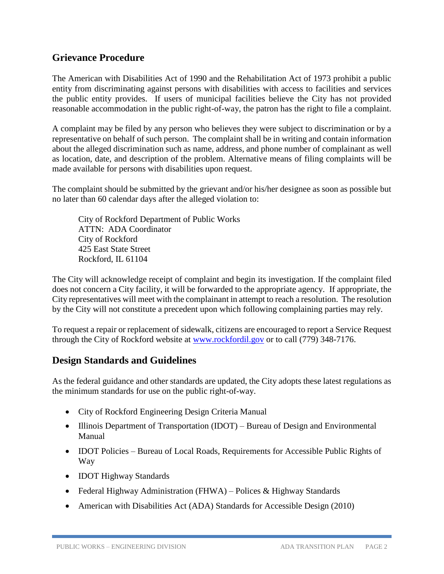## **Grievance Procedure**

The American with Disabilities Act of 1990 and the Rehabilitation Act of 1973 prohibit a public entity from discriminating against persons with disabilities with access to facilities and services the public entity provides. If users of municipal facilities believe the City has not provided reasonable accommodation in the public right-of-way, the patron has the right to file a complaint.

A complaint may be filed by any person who believes they were subject to discrimination or by a representative on behalf of such person. The complaint shall be in writing and contain information about the alleged discrimination such as name, address, and phone number of complainant as well as location, date, and description of the problem. Alternative means of filing complaints will be made available for persons with disabilities upon request.

The complaint should be submitted by the grievant and/or his/her designee as soon as possible but no later than 60 calendar days after the alleged violation to:

City of Rockford Department of Public Works ATTN: ADA Coordinator City of Rockford 425 East State Street Rockford, IL 61104

The City will acknowledge receipt of complaint and begin its investigation. If the complaint filed does not concern a City facility, it will be forwarded to the appropriate agency. If appropriate, the City representatives will meet with the complainant in attempt to reach a resolution. The resolution by the City will not constitute a precedent upon which following complaining parties may rely.

To request a repair or replacement of sidewalk, citizens are encouraged to report a Service Request through the City of Rockford website at [www.rockfordil.gov](http://www.rockfordil.gov/) or to call (779) 348-7176.

## **Design Standards and Guidelines**

As the federal guidance and other standards are updated, the City adopts these latest regulations as the minimum standards for use on the public right-of-way.

- City of Rockford Engineering Design Criteria Manual
- Illinois Department of Transportation (IDOT) Bureau of Design and Environmental Manual
- IDOT Policies Bureau of Local Roads, Requirements for Accessible Public Rights of Way
- **IDOT Highway Standards**
- Federal Highway Administration (FHWA) Polices & Highway Standards
- American with Disabilities Act (ADA) Standards for Accessible Design (2010)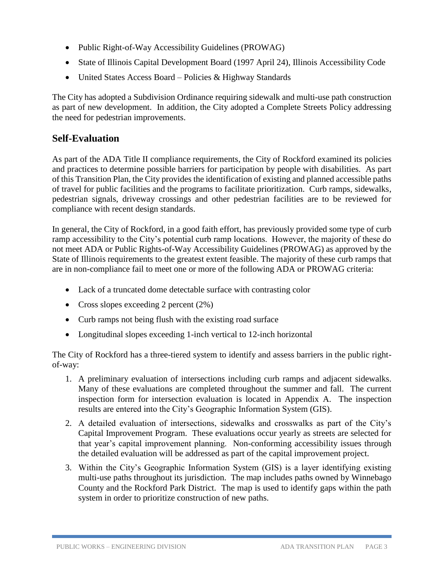- Public Right-of-Way Accessibility Guidelines (PROWAG)
- State of Illinois Capital Development Board (1997 April 24), Illinois Accessibility Code
- United States Access Board Policies & Highway Standards

The City has adopted a Subdivision Ordinance requiring sidewalk and multi-use path construction as part of new development. In addition, the City adopted a Complete Streets Policy addressing the need for pedestrian improvements.

## **Self-Evaluation**

As part of the ADA Title II compliance requirements, the City of Rockford examined its policies and practices to determine possible barriers for participation by people with disabilities. As part of this Transition Plan, the City provides the identification of existing and planned accessible paths of travel for public facilities and the programs to facilitate prioritization. Curb ramps, sidewalks, pedestrian signals, driveway crossings and other pedestrian facilities are to be reviewed for compliance with recent design standards.

In general, the City of Rockford, in a good faith effort, has previously provided some type of curb ramp accessibility to the City's potential curb ramp locations. However, the majority of these do not meet ADA or Public Rights-of-Way Accessibility Guidelines (PROWAG) as approved by the State of Illinois requirements to the greatest extent feasible. The majority of these curb ramps that are in non-compliance fail to meet one or more of the following ADA or PROWAG criteria:

- Lack of a truncated dome detectable surface with contrasting color
- Cross slopes exceeding 2 percent (2%)
- Curb ramps not being flush with the existing road surface
- Longitudinal slopes exceeding 1-inch vertical to 12-inch horizontal

The City of Rockford has a three-tiered system to identify and assess barriers in the public rightof-way:

- 1. A preliminary evaluation of intersections including curb ramps and adjacent sidewalks. Many of these evaluations are completed throughout the summer and fall. The current inspection form for intersection evaluation is located in Appendix A. The inspection results are entered into the City's Geographic Information System (GIS).
- 2. A detailed evaluation of intersections, sidewalks and crosswalks as part of the City's Capital Improvement Program. These evaluations occur yearly as streets are selected for that year's capital improvement planning. Non-conforming accessibility issues through the detailed evaluation will be addressed as part of the capital improvement project.
- 3. Within the City's Geographic Information System (GIS) is a layer identifying existing multi-use paths throughout its jurisdiction. The map includes paths owned by Winnebago County and the Rockford Park District. The map is used to identify gaps within the path system in order to prioritize construction of new paths.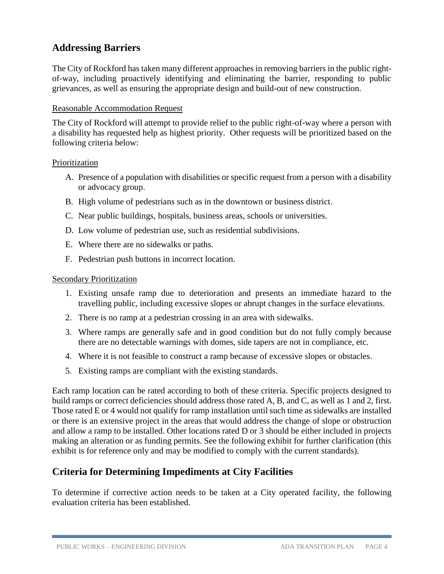## **Addressing Barriers**

The City of Rockford has taken many different approaches in removing barriers in the public rightof-way, including proactively identifying and eliminating the barrier, responding to public grievances, as well as ensuring the appropriate design and build-out of new construction.

#### Reasonable Accommodation Request

The City of Rockford will attempt to provide relief to the public right-of-way where a person with a disability has requested help as highest priority. Other requests will be prioritized based on the following criteria below:

#### Prioritization

- A. Presence of a population with disabilities or specific request from a person with a disability or advocacy group.
- B. High volume of pedestrians such as in the downtown or business district.
- C. Near public buildings, hospitals, business areas, schools or universities.
- D. Low volume of pedestrian use, such as residential subdivisions.
- E. Where there are no sidewalks or paths.
- F. Pedestrian push buttons in incorrect location.

#### Secondary Prioritization

- 1. Existing unsafe ramp due to deterioration and presents an immediate hazard to the travelling public, including excessive slopes or abrupt changes in the surface elevations.
- 2. There is no ramp at a pedestrian crossing in an area with sidewalks.
- 3. Where ramps are generally safe and in good condition but do not fully comply because there are no detectable warnings with domes, side tapers are not in compliance, etc.
- 4. Where it is not feasible to construct a ramp because of excessive slopes or obstacles.
- 5. Existing ramps are compliant with the existing standards.

Each ramp location can be rated according to both of these criteria. Specific projects designed to build ramps or correct deficiencies should address those rated A, B, and C, as well as 1 and 2, first. Those rated E or 4 would not qualify for ramp installation until such time as sidewalks are installed or there is an extensive project in the areas that would address the change of slope or obstruction and allow a ramp to be installed. Other locations rated D or 3 should be either included in projects making an alteration or as funding permits. See the following exhibit for further clarification (this exhibit is for reference only and may be modified to comply with the current standards).

## **Criteria for Determining Impediments at City Facilities**

To determine if corrective action needs to be taken at a City operated facility, the following evaluation criteria has been established.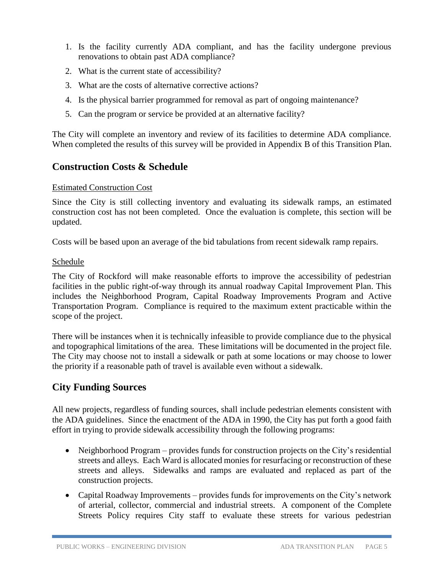- 1. Is the facility currently ADA compliant, and has the facility undergone previous renovations to obtain past ADA compliance?
- 2. What is the current state of accessibility?
- 3. What are the costs of alternative corrective actions?
- 4. Is the physical barrier programmed for removal as part of ongoing maintenance?
- 5. Can the program or service be provided at an alternative facility?

The City will complete an inventory and review of its facilities to determine ADA compliance. When completed the results of this survey will be provided in Appendix B of this Transition Plan.

## **Construction Costs & Schedule**

#### Estimated Construction Cost

Since the City is still collecting inventory and evaluating its sidewalk ramps, an estimated construction cost has not been completed. Once the evaluation is complete, this section will be updated.

Costs will be based upon an average of the bid tabulations from recent sidewalk ramp repairs.

#### Schedule

The City of Rockford will make reasonable efforts to improve the accessibility of pedestrian facilities in the public right-of-way through its annual roadway Capital Improvement Plan. This includes the Neighborhood Program, Capital Roadway Improvements Program and Active Transportation Program. Compliance is required to the maximum extent practicable within the scope of the project.

There will be instances when it is technically infeasible to provide compliance due to the physical and topographical limitations of the area. These limitations will be documented in the project file. The City may choose not to install a sidewalk or path at some locations or may choose to lower the priority if a reasonable path of travel is available even without a sidewalk.

## **City Funding Sources**

All new projects, regardless of funding sources, shall include pedestrian elements consistent with the ADA guidelines. Since the enactment of the ADA in 1990, the City has put forth a good faith effort in trying to provide sidewalk accessibility through the following programs:

- Neighborhood Program provides funds for construction projects on the City's residential streets and alleys. Each Ward is allocated monies for resurfacing or reconstruction of these streets and alleys. Sidewalks and ramps are evaluated and replaced as part of the construction projects.
- Capital Roadway Improvements provides funds for improvements on the City's network of arterial, collector, commercial and industrial streets. A component of the Complete Streets Policy requires City staff to evaluate these streets for various pedestrian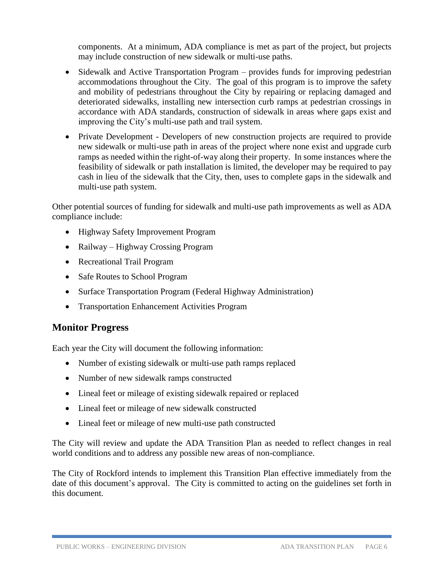components. At a minimum, ADA compliance is met as part of the project, but projects may include construction of new sidewalk or multi-use paths.

- Sidewalk and Active Transportation Program provides funds for improving pedestrian accommodations throughout the City. The goal of this program is to improve the safety and mobility of pedestrians throughout the City by repairing or replacing damaged and deteriorated sidewalks, installing new intersection curb ramps at pedestrian crossings in accordance with ADA standards, construction of sidewalk in areas where gaps exist and improving the City's multi-use path and trail system.
- Private Development Developers of new construction projects are required to provide new sidewalk or multi-use path in areas of the project where none exist and upgrade curb ramps as needed within the right-of-way along their property. In some instances where the feasibility of sidewalk or path installation is limited, the developer may be required to pay cash in lieu of the sidewalk that the City, then, uses to complete gaps in the sidewalk and multi-use path system.

Other potential sources of funding for sidewalk and multi-use path improvements as well as ADA compliance include:

- Highway Safety Improvement Program
- Railway Highway Crossing Program
- Recreational Trail Program
- Safe Routes to School Program
- Surface Transportation Program (Federal Highway Administration)
- Transportation Enhancement Activities Program

## **Monitor Progress**

Each year the City will document the following information:

- Number of existing sidewalk or multi-use path ramps replaced
- Number of new sidewalk ramps constructed
- Lineal feet or mileage of existing sidewalk repaired or replaced
- Lineal feet or mileage of new sidewalk constructed
- Lineal feet or mileage of new multi-use path constructed

The City will review and update the ADA Transition Plan as needed to reflect changes in real world conditions and to address any possible new areas of non-compliance.

The City of Rockford intends to implement this Transition Plan effective immediately from the date of this document's approval. The City is committed to acting on the guidelines set forth in this document.